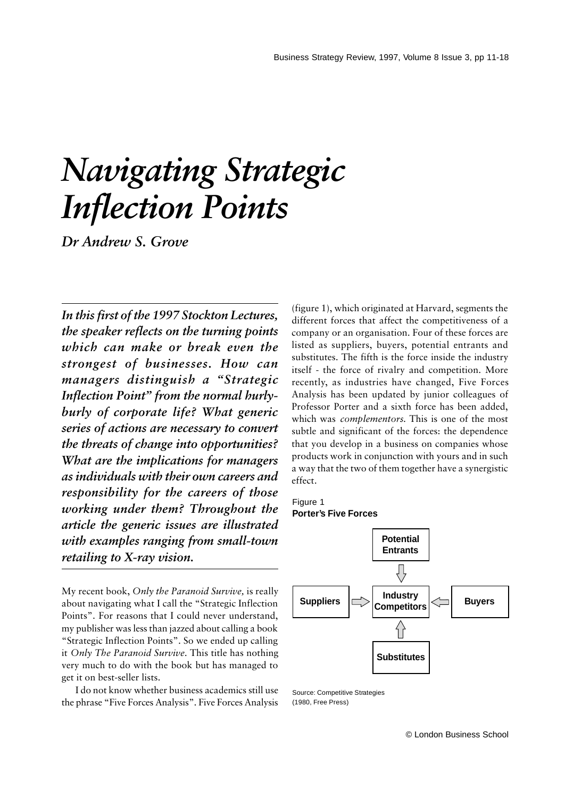# *Navigating Strategic Inflection Points*

*Dr Andrew S. Grove*

*In this first of the 1997 Stockton Lectures, the speaker reflects on the turning points which can make or break even the strongest of businesses. How can managers distinguish a "Strategic Inflection Point" from the normal hurlyburly of corporate life? What generic series of actions are necessary to convert the threats of change into opportunities? What are the implications for managers as individuals with their own careers and responsibility for the careers of those working under them? Throughout the article the generic issues are illustrated with examples ranging from small-town retailing to X-ray vision.*

My recent book, *Only the Paranoid Survive,* is really about navigating what I call the "Strategic Inflection Points". For reasons that I could never understand, my publisher was less than jazzed about calling a book "Strategic Inflection Points". So we ended up calling it *Only The Paranoid Survive*. This title has nothing very much to do with the book but has managed to get it on best-seller lists.

I do not know whether business academics still use the phrase "Five Forces Analysis". Five Forces Analysis (figure 1), which originated at Harvard, segments the different forces that affect the competitiveness of a company or an organisation. Four of these forces are listed as suppliers, buyers, potential entrants and substitutes. The fifth is the force inside the industry itself - the force of rivalry and competition. More recently, as industries have changed, Five Forces Analysis has been updated by junior colleagues of Professor Porter and a sixth force has been added, which was *complementors*. This is one of the most subtle and significant of the forces: the dependence that you develop in a business on companies whose products work in conjunction with yours and in such a way that the two of them together have a synergistic effect.

Figure 1 **Porter's Five Forces**



Source: Competitive Strategies (1980, Free Press)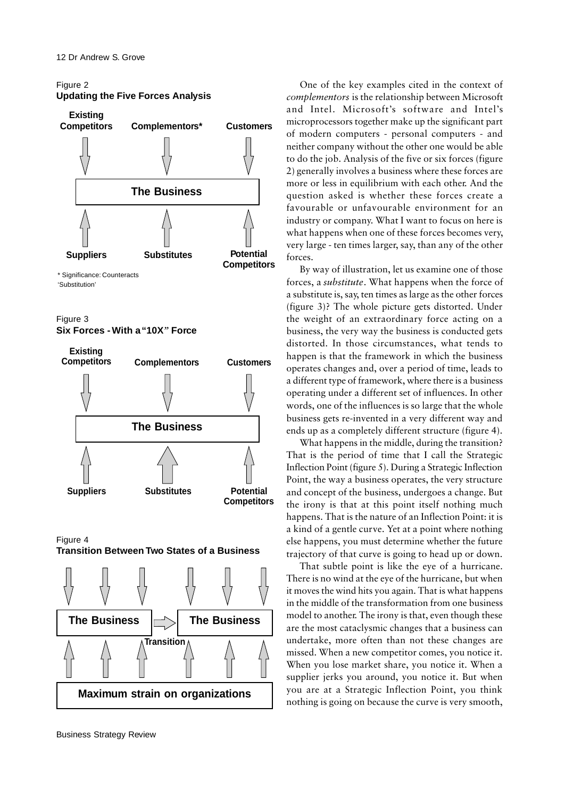# Figure 2 **Updating the Five Forces Analysis**



\* Significance: Counteracts 'Substitution'

Figure 3 **Six Forces - With a "10X***"* **Force**



Figure 4 **Transition Between Two States of a Business**



One of the key examples cited in the context of *complementors* is the relationship between Microsoft and Intel. Microsoft's software and Intel's microprocessors together make up the significant part of modern computers - personal computers - and neither company without the other one would be able to do the job. Analysis of the five or six forces (figure 2) generally involves a business where these forces are more or less in equilibrium with each other. And the question asked is whether these forces create a favourable or unfavourable environment for an industry or company. What I want to focus on here is what happens when one of these forces becomes very, very large - ten times larger, say, than any of the other forces.

By way of illustration, let us examine one of those forces, a *substitute*. What happens when the force of a substitute is, say, ten times as large as the other forces (figure 3)? The whole picture gets distorted. Under the weight of an extraordinary force acting on a business, the very way the business is conducted gets distorted. In those circumstances, what tends to happen is that the framework in which the business operates changes and, over a period of time, leads to a different type of framework, where there is a business operating under a different set of influences. In other words, one of the influences is so large that the whole business gets re-invented in a very different way and ends up as a completely different structure (figure 4).

What happens in the middle, during the transition? That is the period of time that I call the Strategic Inflection Point (figure 5). During a Strategic Inflection Point, the way a business operates, the very structure and concept of the business, undergoes a change. But the irony is that at this point itself nothing much happens. That is the nature of an Inflection Point: it is a kind of a gentle curve. Yet at a point where nothing else happens, you must determine whether the future trajectory of that curve is going to head up or down.

That subtle point is like the eye of a hurricane. There is no wind at the eye of the hurricane, but when it moves the wind hits you again. That is what happens in the middle of the transformation from one business model to another. The irony is that, even though these are the most cataclysmic changes that a business can undertake, more often than not these changes are missed. When a new competitor comes, you notice it. When you lose market share, you notice it. When a supplier jerks you around, you notice it. But when you are at a Strategic Inflection Point, you think nothing is going on because the curve is very smooth,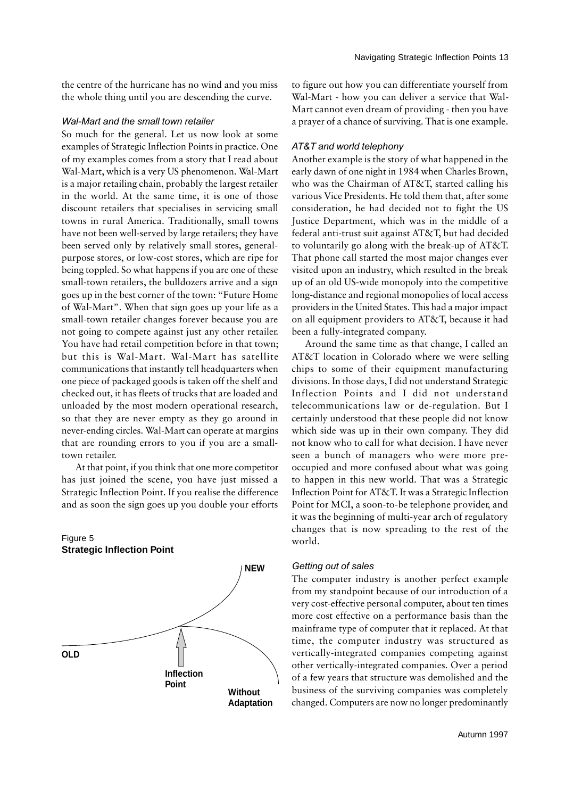the centre of the hurricane has no wind and you miss the whole thing until you are descending the curve.

#### Wal-Mart and the small town retailer

So much for the general. Let us now look at some examples of Strategic Inflection Points in practice. One of my examples comes from a story that I read about Wal-Mart, which is a very US phenomenon. Wal-Mart is a major retailing chain, probably the largest retailer in the world. At the same time, it is one of those discount retailers that specialises in servicing small towns in rural America. Traditionally, small towns have not been well-served by large retailers; they have been served only by relatively small stores, generalpurpose stores, or low-cost stores, which are ripe for being toppled. So what happens if you are one of these small-town retailers, the bulldozers arrive and a sign goes up in the best corner of the town: "Future Home of Wal-Mart". When that sign goes up your life as a small-town retailer changes forever because you are not going to compete against just any other retailer. You have had retail competition before in that town; but this is Wal-Mart. Wal-Mart has satellite communications that instantly tell headquarters when one piece of packaged goods is taken off the shelf and checked out, it has fleets of trucks that are loaded and unloaded by the most modern operational research, so that they are never empty as they go around in never-ending circles. Wal-Mart can operate at margins that are rounding errors to you if you are a smalltown retailer.

At that point, if you think that one more competitor has just joined the scene, you have just missed a Strategic Inflection Point. If you realise the difference and as soon the sign goes up you double your efforts

## Figure 5 **Strategic Inflection Point**



to figure out how you can differentiate yourself from Wal-Mart - how you can deliver a service that Wal-Mart cannot even dream of providing - then you have a prayer of a chance of surviving. That is one example.

## AT&T and world telephony

Another example is the story of what happened in the early dawn of one night in 1984 when Charles Brown, who was the Chairman of AT&T, started calling his various Vice Presidents. He told them that, after some consideration, he had decided not to fight the US Justice Department, which was in the middle of a federal anti-trust suit against AT&T, but had decided to voluntarily go along with the break-up of AT&T. That phone call started the most major changes ever visited upon an industry, which resulted in the break up of an old US-wide monopoly into the competitive long-distance and regional monopolies of local access providers in the United States. This had a major impact on all equipment providers to AT&T, because it had been a fully-integrated company.

Around the same time as that change, I called an AT&T location in Colorado where we were selling chips to some of their equipment manufacturing divisions. In those days, I did not understand Strategic Inflection Points and I did not understand telecommunications law or de-regulation. But I certainly understood that these people did not know which side was up in their own company. They did not know who to call for what decision. I have never seen a bunch of managers who were more preoccupied and more confused about what was going to happen in this new world. That was a Strategic Inflection Point for AT&T. It was a Strategic Inflection Point for MCI, a soon-to-be telephone provider, and it was the beginning of multi-year arch of regulatory changes that is now spreading to the rest of the world.

#### Getting out of sales

The computer industry is another perfect example from my standpoint because of our introduction of a very cost-effective personal computer, about ten times more cost effective on a performance basis than the mainframe type of computer that it replaced. At that time, the computer industry was structured as vertically-integrated companies competing against other vertically-integrated companies. Over a period of a few years that structure was demolished and the business of the surviving companies was completely changed. Computers are now no longer predominantly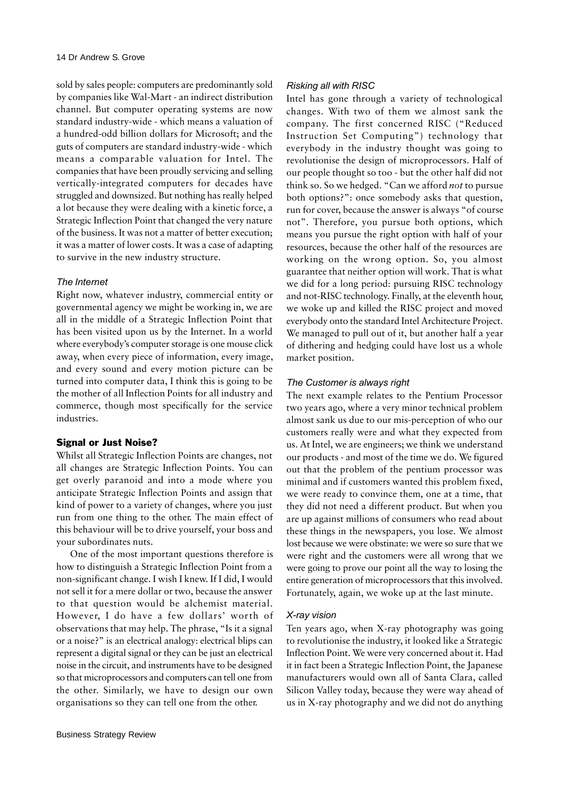sold by sales people: computers are predominantly sold by companies like Wal-Mart - an indirect distribution channel. But computer operating systems are now standard industry-wide - which means a valuation of a hundred-odd billion dollars for Microsoft; and the guts of computers are standard industry-wide - which means a comparable valuation for Intel. The companies that have been proudly servicing and selling vertically-integrated computers for decades have struggled and downsized. But nothing has really helped a lot because they were dealing with a kinetic force, a Strategic Inflection Point that changed the very nature of the business. It was not a matter of better execution; it was a matter of lower costs. It was a case of adapting to survive in the new industry structure.

## The Internet

Right now, whatever industry, commercial entity or governmental agency we might be working in, we are all in the middle of a Strategic Inflection Point that has been visited upon us by the Internet. In a world where everybody's computer storage is one mouse click away, when every piece of information, every image, and every sound and every motion picture can be turned into computer data, I think this is going to be the mother of all Inflection Points for all industry and commerce, though most specifically for the service industries.

## Signal or Just Noise?

Whilst all Strategic Inflection Points are changes, not all changes are Strategic Inflection Points. You can get overly paranoid and into a mode where you anticipate Strategic Inflection Points and assign that kind of power to a variety of changes, where you just run from one thing to the other. The main effect of this behaviour will be to drive yourself, your boss and your subordinates nuts.

One of the most important questions therefore is how to distinguish a Strategic Inflection Point from a non-significant change. I wish I knew. If I did, I would not sell it for a mere dollar or two, because the answer to that question would be alchemist material. However, I do have a few dollars' worth of observations that may help. The phrase, "Is it a signal or a noise?" is an electrical analogy: electrical blips can represent a digital signal or they can be just an electrical noise in the circuit, and instruments have to be designed so that microprocessors and computers can tell one from the other. Similarly, we have to design our own organisations so they can tell one from the other.

## Risking all with RISC

Intel has gone through a variety of technological changes. With two of them we almost sank the company. The first concerned RISC ("Reduced Instruction Set Computing") technology that everybody in the industry thought was going to revolutionise the design of microprocessors. Half of our people thought so too - but the other half did not think so. So we hedged. "Can we afford *not* to pursue both options?": once somebody asks that question, run for cover, because the answer is always "of course not". Therefore, you pursue both options, which means you pursue the right option with half of your resources, because the other half of the resources are working on the wrong option. So, you almost guarantee that neither option will work. That is what we did for a long period: pursuing RISC technology and not-RISC technology. Finally, at the eleventh hour, we woke up and killed the RISC project and moved everybody onto the standard Intel Architecture Project. We managed to pull out of it, but another half a year of dithering and hedging could have lost us a whole market position.

## The Customer is always right

The next example relates to the Pentium Processor two years ago, where a very minor technical problem almost sank us due to our mis-perception of who our customers really were and what they expected from us. At Intel, we are engineers; we think we understand our products - and most of the time we do. We figured out that the problem of the pentium processor was minimal and if customers wanted this problem fixed, we were ready to convince them, one at a time, that they did not need a different product. But when you are up against millions of consumers who read about these things in the newspapers, you lose. We almost lost because we were obstinate: we were so sure that we were right and the customers were all wrong that we were going to prove our point all the way to losing the entire generation of microprocessors that this involved. Fortunately, again, we woke up at the last minute.

#### X-ray vision

Ten years ago, when X-ray photography was going to revolutionise the industry, it looked like a Strategic Inflection Point. We were very concerned about it. Had it in fact been a Strategic Inflection Point, the Japanese manufacturers would own all of Santa Clara, called Silicon Valley today, because they were way ahead of us in X-ray photography and we did not do anything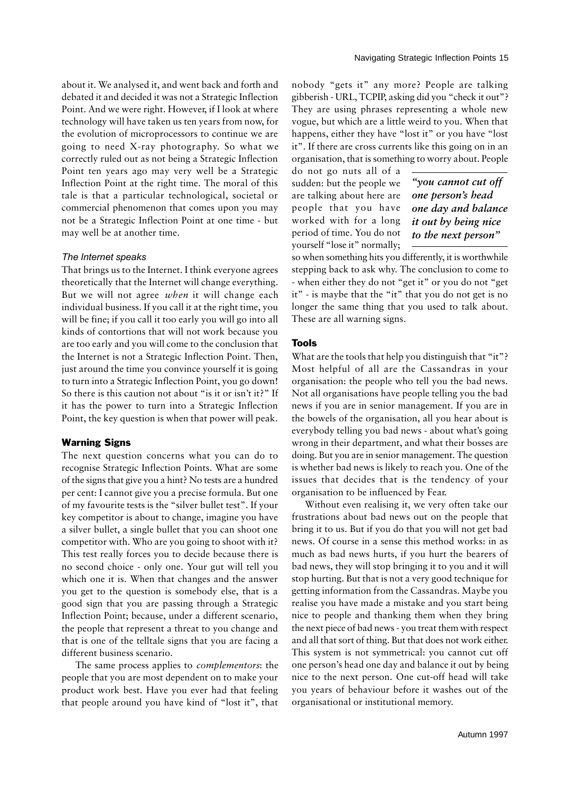about it. We analysed it, and went back and forth and debated it and decided it was not a Strategic Inflection Point. And we were right. However, if I look at where technology will have taken us ten years from now, for the evolution of microprocessors to continue we are going to need X-ray photography. So what we correctly ruled out as not being a Strategic Inflection Point ten years ago may very well be a Strategic Inflection Point at the right time. The moral of this tale is that a particular technological, societal or commercial phenomenon that comes upon you may not be a Strategic Inflection Point at one time - but may well be at another time.

#### The Internet speaks

That brings us to the Internet. I think everyone agrees theoretically that the Internet will change everything. But we will not agree *when* it will change each individual business. If you call it at the right time, you will be fine; if you call it too early you will go into all kinds of contortions that will not work because you are too early and you will come to the conclusion that the Internet is not a Strategic Inflection Point. Then, just around the time you convince yourself it is going to turn into a Strategic Inflection Point, you go down! So there is this caution not about "is it or isn't it?" If it has the power to turn into a Strategic Inflection Point, the key question is when that power will peak.

#### Warning Signs

The next question concerns what you can do to recognise Strategic Inflection Points. What are some of the signs that give you a hint? No tests are a hundred per cent: I cannot give you a precise formula. But one of my favourite tests is the "silver bullet test". If your key competitor is about to change, imagine you have a silver bullet, a single bullet that you can shoot one competitor with. Who are you going to shoot with it? This test really forces you to decide because there is no second choice - only one. Your gut will tell you which one it is. When that changes and the answer you get to the question is somebody else, that is a good sign that you are passing through a Strategic Inflection Point; because, under a different scenario, the people that represent a threat to you change and that is one of the telltale signs that you are facing a different business scenario.

The same process applies to *complementors*: the people that you are most dependent on to make your product work best. Have you ever had that feeling that people around you have kind of "lost it", that

nobody "gets it" any more? People are talking gibberish - URL, TCPIP, asking did you "check it out"? They are using phrases representing a whole new vogue, but which are a little weird to you. When that happens, either they have "lost it" or you have "lost it". If there are cross currents like this going on in an organisation, that is something to worry about. People

do not go nuts all of a sudden: but the people we are talking about here are people that you have worked with for a long period of time. You do not yourself "lose it" normally;

*"you cannot cut off one person's head one day and balance it out by being nice to the next person"*

so when something hits you differently, it is worthwhile stepping back to ask why. The conclusion to come to - when either they do not "get it" or you do not "get it" - is maybe that the "it" that you do not get is no longer the same thing that you used to talk about. These are all warning signs.

## Tools

What are the tools that help you distinguish that "it"? Most helpful of all are the Cassandras in your organisation: the people who tell you the bad news. Not all organisations have people telling you the bad news if you are in senior management. If you are in the bowels of the organisation, all you hear about is everybody telling you bad news - about what's going wrong in their department, and what their bosses are doing. But you are in senior management. The question is whether bad news is likely to reach you. One of the issues that decides that is the tendency of your organisation to be influenced by Fear.

Without even realising it, we very often take our frustrations about bad news out on the people that bring it to us. But if you do that you will not get bad news. Of course in a sense this method works: in as much as bad news hurts, if you hurt the bearers of bad news, they will stop bringing it to you and it will stop hurting. But that is not a very good technique for getting information from the Cassandras. Maybe you realise you have made a mistake and you start being nice to people and thanking them when they bring the next piece of bad news - you treat them with respect and all that sort of thing. But that does not work either. This system is not symmetrical: you cannot cut off one person's head one day and balance it out by being nice to the next person. One cut-off head will take you years of behaviour before it washes out of the organisational or institutional memory.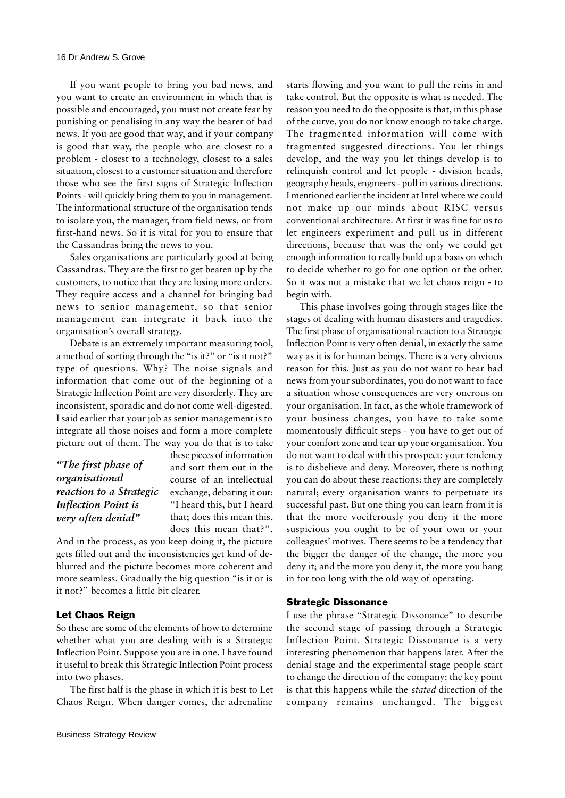If you want people to bring you bad news, and you want to create an environment in which that is possible and encouraged, you must not create fear by punishing or penalising in any way the bearer of bad news. If you are good that way, and if your company is good that way, the people who are closest to a problem - closest to a technology, closest to a sales situation, closest to a customer situation and therefore those who see the first signs of Strategic Inflection Points - will quickly bring them to you in management. The informational structure of the organisation tends to isolate you, the manager, from field news, or from first-hand news. So it is vital for you to ensure that the Cassandras bring the news to you.

Sales organisations are particularly good at being Cassandras. They are the first to get beaten up by the customers, to notice that they are losing more orders. They require access and a channel for bringing bad news to senior management, so that senior management can integrate it back into the organisation's overall strategy.

Debate is an extremely important measuring tool, a method of sorting through the "is it?" or "is it not?" type of questions. Why? The noise signals and information that come out of the beginning of a Strategic Inflection Point are very disorderly. They are inconsistent, sporadic and do not come well-digested. I said earlier that your job as senior management is to integrate all those noises and form a more complete picture out of them. The way you do that is to take

*"The first phase of organisational reaction to a Strategic Inflection Point is very often denial"*

these pieces of information and sort them out in the course of an intellectual exchange, debating it out: "I heard this, but I heard that; does this mean this, does this mean that?".

And in the process, as you keep doing it, the picture gets filled out and the inconsistencies get kind of deblurred and the picture becomes more coherent and more seamless. Gradually the big question "is it or is it not?" becomes a little bit clearer.

## Let Chaos Reign

So these are some of the elements of how to determine whether what you are dealing with is a Strategic Inflection Point. Suppose you are in one. I have found it useful to break this Strategic Inflection Point process into two phases.

The first half is the phase in which it is best to Let Chaos Reign. When danger comes, the adrenaline

starts flowing and you want to pull the reins in and take control. But the opposite is what is needed. The reason you need to do the opposite is that, in this phase of the curve, you do not know enough to take charge. The fragmented information will come with fragmented suggested directions. You let things develop, and the way you let things develop is to relinquish control and let people - division heads, geography heads, engineers - pull in various directions. I mentioned earlier the incident at Intel where we could not make up our minds about RISC versus conventional architecture. At first it was fine for us to let engineers experiment and pull us in different directions, because that was the only we could get enough information to really build up a basis on which to decide whether to go for one option or the other. So it was not a mistake that we let chaos reign - to begin with.

This phase involves going through stages like the stages of dealing with human disasters and tragedies. The first phase of organisational reaction to a Strategic Inflection Point is very often denial, in exactly the same way as it is for human beings. There is a very obvious reason for this. Just as you do not want to hear bad news from your subordinates, you do not want to face a situation whose consequences are very onerous on your organisation. In fact, as the whole framework of your business changes, you have to take some momentously difficult steps - you have to get out of your comfort zone and tear up your organisation. You do not want to deal with this prospect: your tendency is to disbelieve and deny. Moreover, there is nothing you can do about these reactions: they are completely natural; every organisation wants to perpetuate its successful past. But one thing you can learn from it is that the more vociferously you deny it the more suspicious you ought to be of your own or your colleagues' motives. There seems to be a tendency that the bigger the danger of the change, the more you deny it; and the more you deny it, the more you hang in for too long with the old way of operating.

#### Strategic Dissonance

I use the phrase "Strategic Dissonance" to describe the second stage of passing through a Strategic Inflection Point. Strategic Dissonance is a very interesting phenomenon that happens later. After the denial stage and the experimental stage people start to change the direction of the company: the key point is that this happens while the *stated* direction of the company remains unchanged. The biggest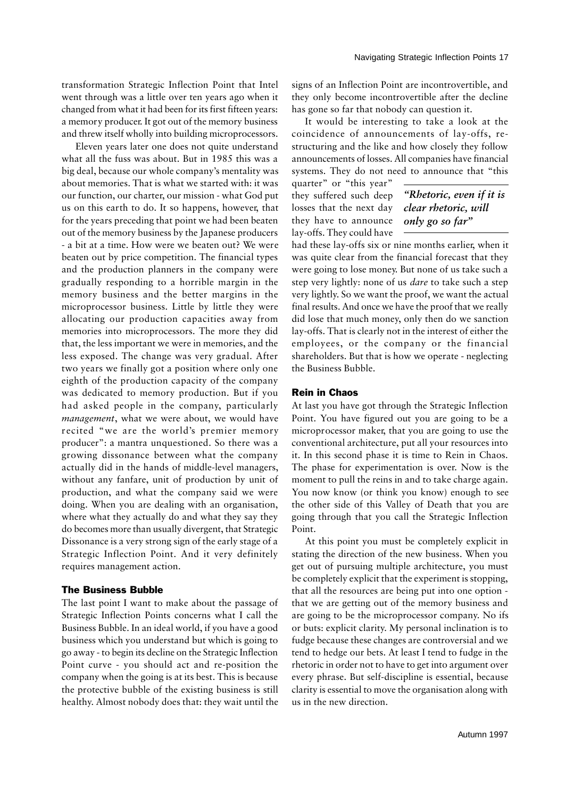transformation Strategic Inflection Point that Intel went through was a little over ten years ago when it changed from what it had been for its first fifteen years: a memory producer. It got out of the memory business and threw itself wholly into building microprocessors.

Eleven years later one does not quite understand what all the fuss was about. But in 1985 this was a big deal, because our whole company's mentality was about memories. That is what we started with: it was our function, our charter, our mission - what God put us on this earth to do. It so happens, however, that for the years preceding that point we had been beaten out of the memory business by the Japanese producers - a bit at a time. How were we beaten out? We were beaten out by price competition. The financial types and the production planners in the company were gradually responding to a horrible margin in the memory business and the better margins in the microprocessor business. Little by little they were allocating our production capacities away from memories into microprocessors. The more they did that, the less important we were in memories, and the less exposed. The change was very gradual. After two years we finally got a position where only one eighth of the production capacity of the company was dedicated to memory production. But if you had asked people in the company, particularly *management*, what we were about, we would have recited "we are the world's premier memory producer": a mantra unquestioned. So there was a growing dissonance between what the company actually did in the hands of middle-level managers, without any fanfare, unit of production by unit of production, and what the company said we were doing. When you are dealing with an organisation, where what they actually do and what they say they do becomes more than usually divergent, that Strategic Dissonance is a very strong sign of the early stage of a Strategic Inflection Point. And it very definitely requires management action.

## The Business Bubble

The last point I want to make about the passage of Strategic Inflection Points concerns what I call the Business Bubble. In an ideal world, if you have a good business which you understand but which is going to go away - to begin its decline on the Strategic Inflection Point curve - you should act and re-position the company when the going is at its best. This is because the protective bubble of the existing business is still healthy. Almost nobody does that: they wait until the

signs of an Inflection Point are incontrovertible, and they only become incontrovertible after the decline has gone so far that nobody can question it.

It would be interesting to take a look at the coincidence of announcements of lay-offs, restructuring and the like and how closely they follow announcements of losses. All companies have financial systems. They do not need to announce that "this

quarter" or "this year" they suffered such deep losses that the next day they have to announce lay-offs. They could have

*"Rhetoric, even if it is clear rhetoric, will only go so far"*

had these lay-offs six or nine months earlier, when it was quite clear from the financial forecast that they were going to lose money. But none of us take such a step very lightly: none of us *dare* to take such a step very lightly. So we want the proof, we want the actual final results. And once we have the proof that we really did lose that much money, only then do we sanction lay-offs. That is clearly not in the interest of either the employees, or the company or the financial shareholders. But that is how we operate - neglecting the Business Bubble.

## Rein in Chaos

At last you have got through the Strategic Inflection Point. You have figured out you are going to be a microprocessor maker, that you are going to use the conventional architecture, put all your resources into it. In this second phase it is time to Rein in Chaos. The phase for experimentation is over. Now is the moment to pull the reins in and to take charge again. You now know (or think you know) enough to see the other side of this Valley of Death that you are going through that you call the Strategic Inflection Point.

At this point you must be completely explicit in stating the direction of the new business. When you get out of pursuing multiple architecture, you must be completely explicit that the experiment is stopping, that all the resources are being put into one option that we are getting out of the memory business and are going to be the microprocessor company. No ifs or buts: explicit clarity. My personal inclination is to fudge because these changes are controversial and we tend to hedge our bets. At least I tend to fudge in the rhetoric in order not to have to get into argument over every phrase. But self-discipline is essential, because clarity is essential to move the organisation along with us in the new direction.